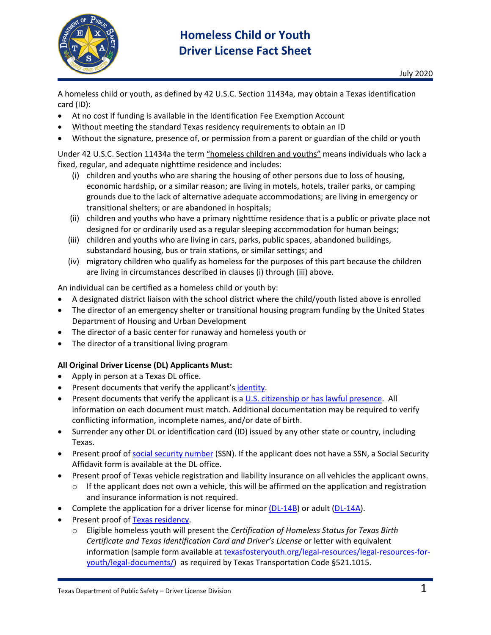

A homeless child or youth, as defined by 42 U.S.C. Section 11434a, may obtain a Texas identification card (ID):

- At no cost if funding is available in the Identification Fee Exemption Account
- Without meeting the standard Texas residency requirements to obtain an ID
- Without the signature, presence of, or permission from a parent or guardian of the child or youth

Under 42 U.S.C. Section 11434a the term "homeless children and youths" means individuals who lack a fixed, regular, and adequate nighttime residence and includes:

- (i) children and youths who are sharing the housing of other persons due to loss of housing, economic hardship, or a similar reason; are living in motels, hotels, trailer parks, or camping grounds due to the lack of alternative adequate accommodations; are living in emergency or transitional shelters; or are abandoned in hospitals;
- (ii) children and youths who have a primary nighttime residence that is a public or private place not designed for or ordinarily used as a regular sleeping accommodation for human beings;
- (iii) children and youths who are living in cars, parks, public spaces, abandoned buildings, substandard housing, bus or train stations, or similar settings; and
- (iv) migratory children who qualify as homeless for the purposes of this part because the children are living in circumstances described in clauses (i) through (iii) above.

An individual can be certified as a homeless child or youth by:

- A designated district liaison with the school district where the child/youth listed above is enrolled
- The director of an emergency shelter or transitional housing program funding by the United States Department of Housing and Urban Development
- The director of a basic center for runaway and homeless youth or
- The director of a transitional living program

### **All Original Driver License (DL) Applicants Must:**

- Apply in person at a Texas DL office.
- Present documents that verify the applicant's [identity.](http://www.dps.texas.gov/DriverLicense/identificationrequirements.htm)
- Present documents that verify the applicant is a U.S. citizenship [or has lawful presence.](http://www.dps.texas.gov/DriverLicense/LawfulStatusDLID.htm) All information on each document must match. Additional documentation may be required to verify conflicting information, incomplete names, and/or date of birth.
- Surrender any other DL or identification card (ID) issued by any other state or country, including Texas.
- Present proof of [social security number](http://www.dps.texas.gov/DriverLicense/ssn.htm) (SSN). If the applicant does not have a SSN, a Social Security Affidavit form is available at the DL office.
- Present proof of Texas vehicle registration and liability insurance on all vehicles the applicant owns.
	- $\circ$  If the applicant does not own a vehicle, this will be affirmed on the application and registration and insurance information is not required.
- Complete the application for a driver license for minor [\(DL-14B\)](https://www.dps.texas.gov/internetforms/getForm.ashx?id=DL-14B.pdf) or adult [\(DL-14A\)](https://www.dps.texas.gov/internetforms/getForm.ashx?id=DL-14A.pdf).
- Present proof of [Texas residency.](http://www.dps.texas.gov/DriverLicense/residencyReqNonCDL.htm)
	- o Eligible homeless youth will present the *Certification of Homeless Status for Texas Birth Certificate and Texas Identification Card and Driver's License* or letter with equivalent information (sample form available at [texasfosteryouth.org/legal-resources/legal-resources-for](http://texasfosteryouth.org/legal-resources/legal-resources-for-youth/legal-documents/)[youth/legal-documents/\)](http://texasfosteryouth.org/legal-resources/legal-resources-for-youth/legal-documents/) as required by Texas Transportation Code §521.1015.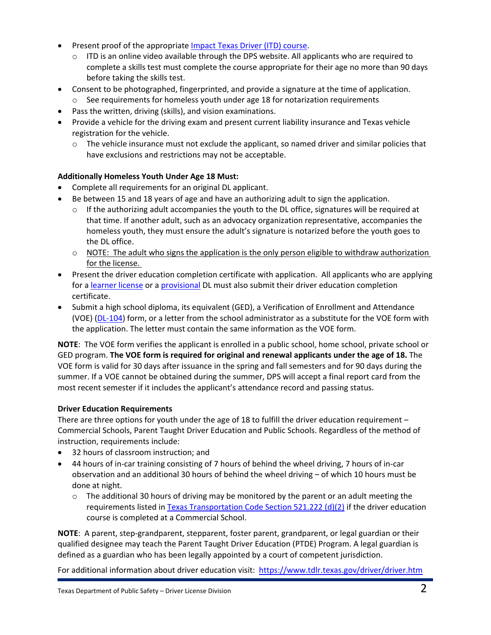- Present proof of the appropriate [Impact Texas Driver \(ITD\) course.](http://www.dps.texas.gov/DriverLicense/ITD.htm)
	- $\circ$  ITD is an online video available through the DPS website. All applicants who are required to complete a skills test must complete the course appropriate for their age no more than 90 days before taking the skills test.
- Consent to be photographed, fingerprinted, and provide a signature at the time of application.
	- $\circ$  See requirements for homeless youth under age 18 for notarization requirements
- Pass the written, driving (skills), and vision examinations.
- Provide a vehicle for the driving exam and present current liability insurance and Texas vehicle registration for the vehicle.
	- $\circ$  The vehicle insurance must not exclude the applicant, so named driver and similar policies that have exclusions and restrictions may not be acceptable.

# **Additionally Homeless Youth Under Age 18 Must:**

- Complete all requirements for an original DL applicant.
- Be between 15 and 18 years of age and have an authorizing adult to sign the application.
	- $\circ$  If the authorizing adult accompanies the youth to the DL office, signatures will be required at that time. If another adult, such as an advocacy organization representative, accompanies the homeless youth, they must ensure the adult's signature is notarized before the youth goes to the DL office.
	- $\circ$  NOTE: The adult who signs the application is the only person eligible to withdraw authorization for the license.
- Present the driver education completion certificate with application. All applicants who are applying for a [learner license](https://www.dps.texas.gov/DriverLicense/teenDriver.htm) or a [provisional](https://www.dps.texas.gov/DriverLicense/teenDriver.htm) DL must also submit their driver education completion certificate.
- Submit a high school diploma, its equivalent (GED), a Verification of Enrollment and Attendance (VOE) [\(DL-104\)](https://www.dps.texas.gov/internetforms/Forms/DL-104.pdf) form, or a letter from the school administrator as a substitute for the VOE form with the application. The letter must contain the same information as the VOE form.

**NOTE**: The VOE form verifies the applicant is enrolled in a public school, home school, private school or GED program. **The VOE form is required for original and renewal applicants under the age of 18.** The VOE form is valid for 30 days after issuance in the spring and fall semesters and for 90 days during the summer. If a VOE cannot be obtained during the summer, DPS will accept a final report card from the most recent semester if it includes the applicant's attendance record and passing status.

## **Driver Education Requirements**

There are three options for youth under the age of 18 to fulfill the driver education requirement – Commercial Schools, Parent Taught Driver Education and Public Schools. Regardless of the method of instruction, requirements include:

- 32 hours of classroom instruction; and
- 44 hours of in-car training consisting of 7 hours of behind the wheel driving, 7 hours of in-car observation and an additional 30 hours of behind the wheel driving – of which 10 hours must be done at night.
	- $\circ$  The additional 30 hours of driving may be monitored by the parent or an adult meeting the requirements listed in [Texas Transportation Code Section 521.222 \(d\)\(2\)](https://statutes.capitol.texas.gov/Docs/TN/htm/TN.521.htm#521.222) if the driver education course is completed at a Commercial School.

**NOTE**: A parent, step-grandparent, stepparent, foster parent, grandparent, or legal guardian or their qualified designee may teach the Parent Taught Driver Education (PTDE) Program. A legal guardian is defined as a guardian who has been legally appointed by a court of competent jurisdiction.

For additional information about driver education visit: <https://www.tdlr.texas.gov/driver/driver.htm>